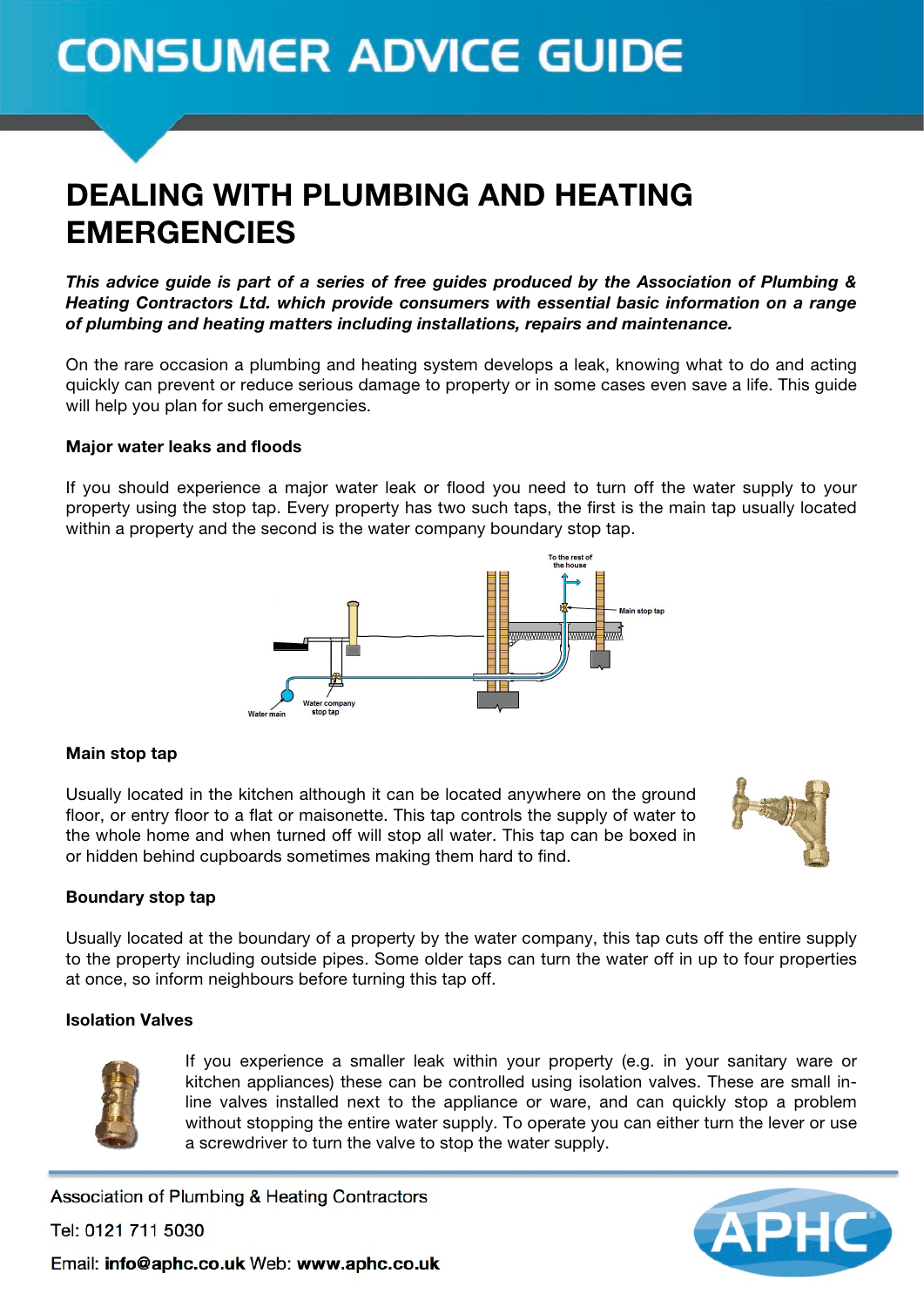# **CONSUMER ADVICE GUIDE**

### DEALING WITH PLUMBING AND HEATING EMERGENCIES

*This advice guide is part of a series of free guides produced by the Association of Plumbing & Heating Contractors Ltd. which provide consumers with essential basic information on a range of plumbing and heating matters including installations, repairs and maintenance.*

On the rare occasion a plumbing and heating system develops a leak, knowing what to do and acting quickly can prevent or reduce serious damage to property or in some cases even save a life. This guide will help you plan for such emergencies.

### Major water leaks and floods

If you should experience a major water leak or flood you need to turn off the water supply to your property using the stop tap. Every property has two such taps, the first is the main tap usually located within a property and the second is the water company boundary stop tap.



### Main stop tap

Usually located in the kitchen although it can be located anywhere on the ground floor, or entry floor to a flat or maisonette. This tap controls the supply of water to the whole home and when turned off will stop all water. This tap can be boxed in or hidden behind cupboards sometimes making them hard to find.



### Boundary stop tap

Usually located at the boundary of a property by the water company, this tap cuts off the entire supply to the property including outside pipes. Some older taps can turn the water off in up to four properties at once, so inform neighbours before turning this tap off.

### Isolation Valves



If you experience a smaller leak within your property (e.g. in your sanitary ware or kitchen appliances) these can be controlled using isolation valves. These are small inline valves installed next to the appliance or ware, and can quickly stop a problem without stopping the entire water supply. To operate you can either turn the lever or use a screwdriver to turn the valve to stop the water supply.

Association of Plumbing & Heating Contractors

Tel: 0121 711 5030

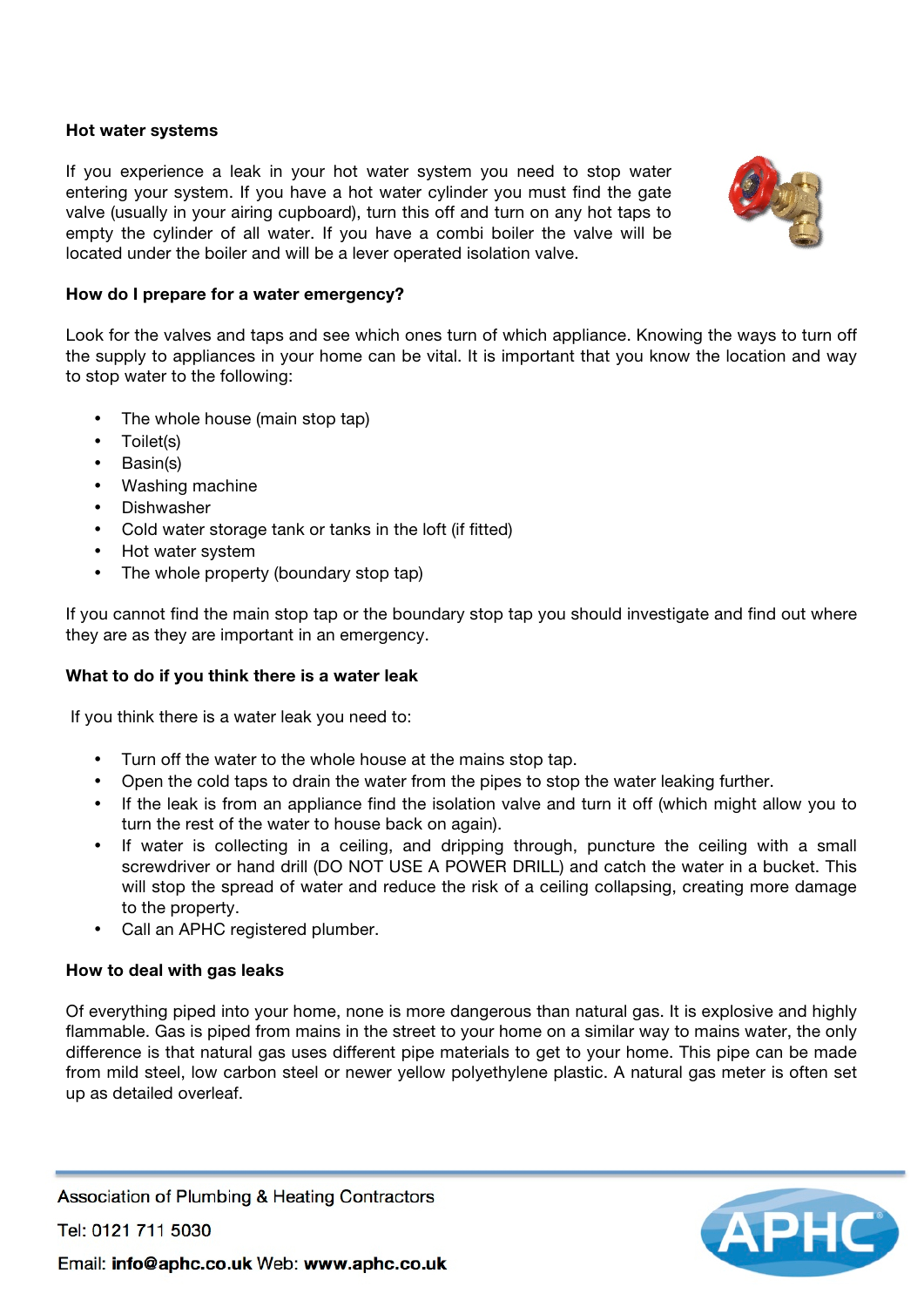### Hot water systems

If you experience a leak in your hot water system you need to stop water entering your system. If you have a hot water cylinder you must find the gate valve (usually in your airing cupboard), turn this off and turn on any hot taps to empty the cylinder of all water. If you have a combi boiler the valve will be located under the boiler and will be a lever operated isolation valve.



### How do I prepare for a water emergency?

Look for the valves and taps and see which ones turn of which appliance. Knowing the ways to turn off the supply to appliances in your home can be vital. It is important that you know the location and way to stop water to the following:

- The whole house (main stop tap)
- Toilet(s)
- Basin(s)
- Washing machine
- Dishwasher
- Cold water storage tank or tanks in the loft (if fitted)
- Hot water system
- The whole property (boundary stop tap)

If you cannot find the main stop tap or the boundary stop tap you should investigate and find out where they are as they are important in an emergency.

### What to do if you think there is a water leak

If you think there is a water leak you need to:

- Turn off the water to the whole house at the mains stop tap.
- Open the cold taps to drain the water from the pipes to stop the water leaking further.
- If the leak is from an appliance find the isolation valve and turn it off (which might allow you to turn the rest of the water to house back on again).
- If water is collecting in a ceiling, and dripping through, puncture the ceiling with a small screwdriver or hand drill (DO NOT USE A POWER DRILL) and catch the water in a bucket. This will stop the spread of water and reduce the risk of a ceiling collapsing, creating more damage to the property.
- Call an APHC registered plumber.

### How to deal with gas leaks

Of everything piped into your home, none is more dangerous than natural gas. It is explosive and highly flammable. Gas is piped from mains in the street to your home on a similar way to mains water, the only difference is that natural gas uses different pipe materials to get to your home. This pipe can be made from mild steel, low carbon steel or newer yellow polyethylene plastic. A natural gas meter is often set up as detailed overleaf.

Association of Plumbing & Heating Contractors

Tel: 0121 711 5030

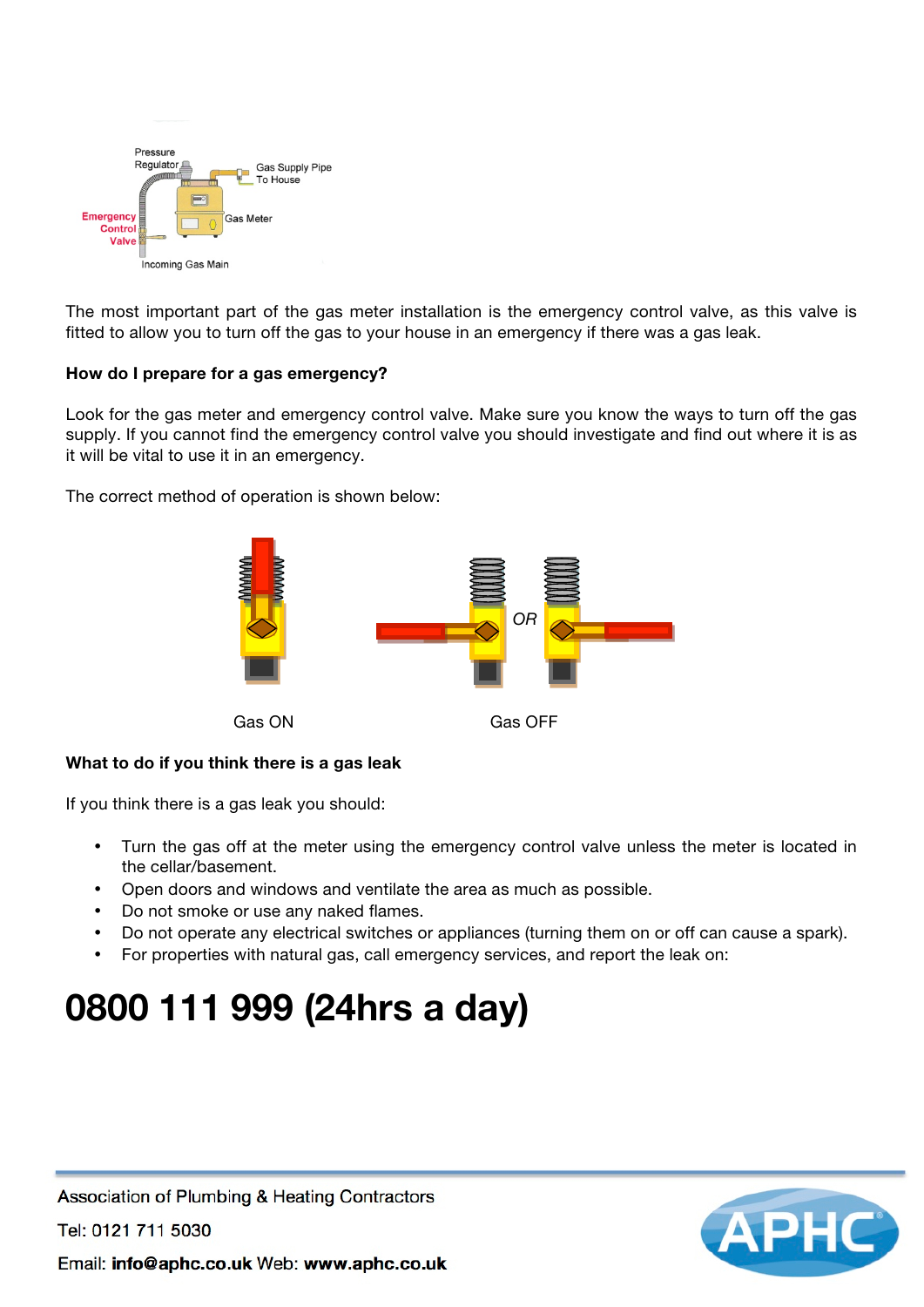

The most important part of the gas meter installation is the emergency control valve, as this valve is fitted to allow you to turn off the gas to your house in an emergency if there was a gas leak.

### How do I prepare for a gas emergency?

Look for the gas meter and emergency control valve. Make sure you know the ways to turn off the gas supply. If you cannot find the emergency control valve you should investigate and find out where it is as it will be vital to use it in an emergency.

The correct method of operation is shown below:



### What to do if you think there is a gas leak

If you think there is a gas leak you should:

- Turn the gas off at the meter using the emergency control valve unless the meter is located in the cellar/basement.
- Open doors and windows and ventilate the area as much as possible.
- Do not smoke or use any naked flames.
- Do not operate any electrical switches or appliances (turning them on or off can cause a spark).
- For properties with natural gas, call emergency services, and report the leak on:

## 0800 111 999 (24hrs a day)



Association of Plumbing & Heating Contractors

Tel: 0121 711 5030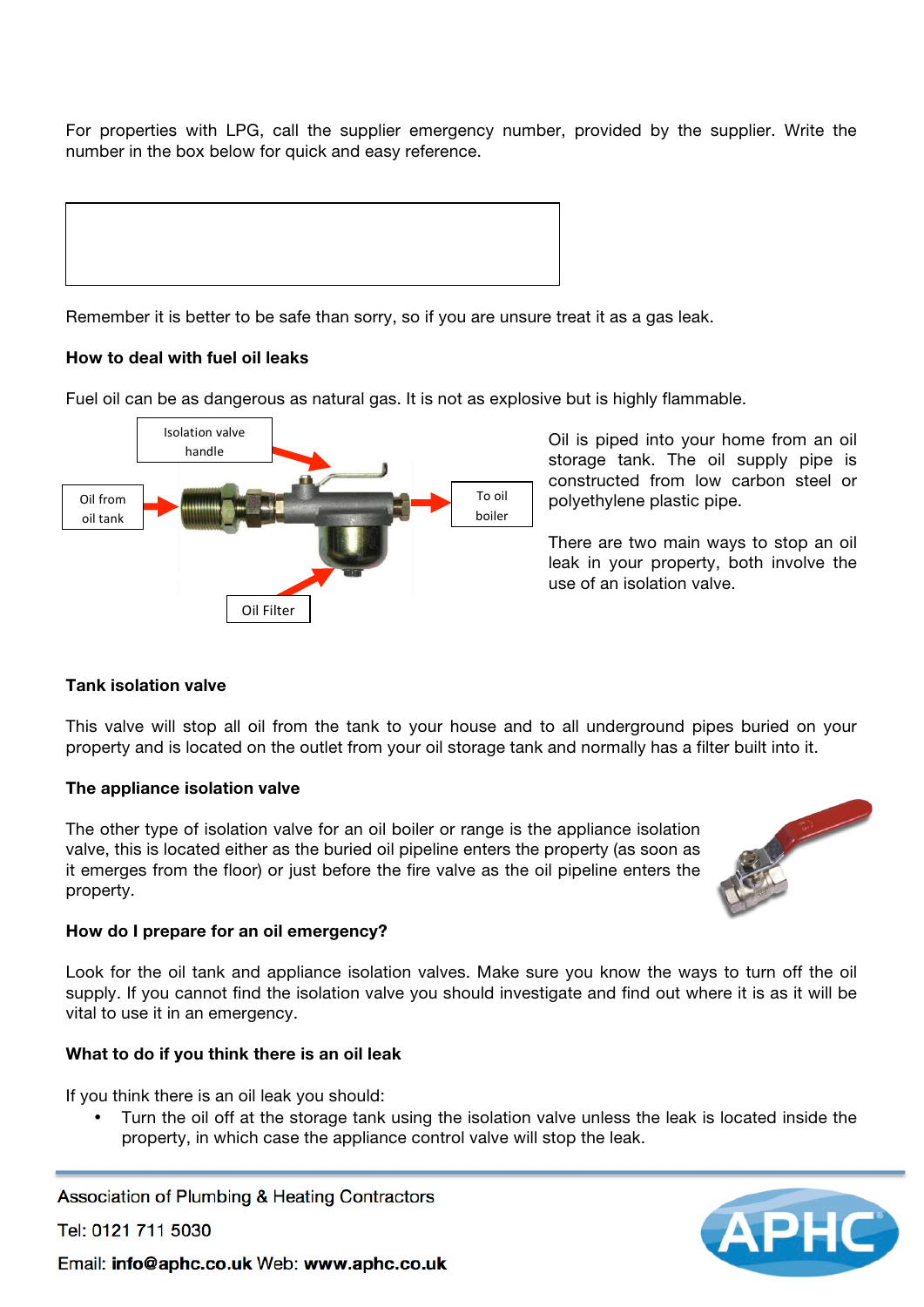For properties with LPG, call the supplier emergency number, provided by the supplier. Write the number in the box below for quick and easy reference.



Remember it is better to be safe than sorry, so if you are unsure treat it as a gas leak.

### How to deal with fuel oil leaks

Fuel oil can be as dangerous as natural gas. It is not as explosive but is highly flammable.



Oil is piped into your home from an oil storage tank. The oil supply pipe is constructed from low carbon steel or polyethylene plastic pipe.

There are two main ways to stop an oil leak in your property, both involve the use of an isolation valve.

### Tank isolation valve

This valve will stop all oil from the tank to your house and to all underground pipes buried on your property and is located on the outlet from your oil storage tank and normally has a filter built into it.

### The appliance isolation valve

The other type of isolation valve for an oil boiler or range is the appliance isolation valve, this is located either as the buried oil pipeline enters the property (as soon as it emerges from the floor) or just before the fire valve as the oil pipeline enters the property.



### How do I prepare for an oil emergency?

Look for the oil tank and appliance isolation valves. Make sure you know the ways to turn off the oil supply. If you cannot find the isolation valve you should investigate and find out where it is as it will be vital to use it in an emergency.

### What to do if you think there is an oil leak

If you think there is an oil leak you should:

• Turn the oil off at the storage tank using the isolation valve unless the leak is located inside the property, in which case the appliance control valve will stop the leak.

Association of Plumbing & Heating Contractors

Tel: 0121 711 5030